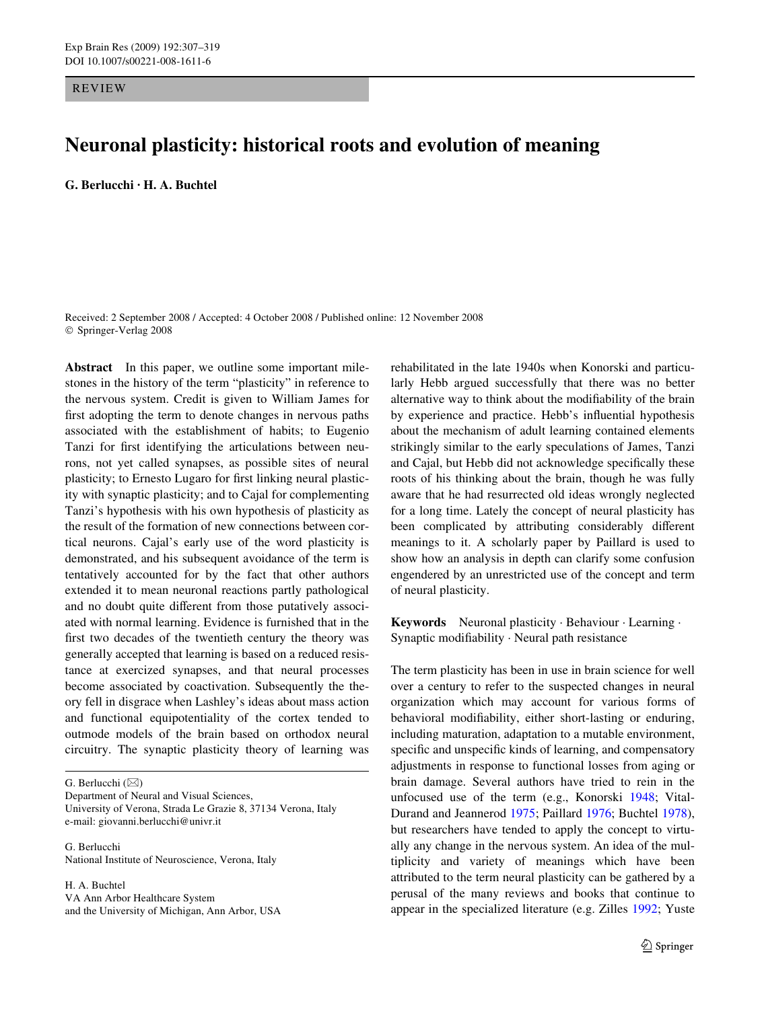REVIEW

## **Neuronal plasticity: historical roots and evolution of meaning**

**G. Berlucchi · H. A. Buchtel** 

Received: 2 September 2008 / Accepted: 4 October 2008 / Published online: 12 November 2008 © Springer-Verlag 2008

**Abstract** In this paper, we outline some important milestones in the history of the term "plasticity" in reference to the nervous system. Credit is given to William James for first adopting the term to denote changes in nervous paths associated with the establishment of habits; to Eugenio Tanzi for first identifying the articulations between neurons, not yet called synapses, as possible sites of neural plasticity; to Ernesto Lugaro for first linking neural plasticity with synaptic plasticity; and to Cajal for complementing Tanzi's hypothesis with his own hypothesis of plasticity as the result of the formation of new connections between cortical neurons. Cajal's early use of the word plasticity is demonstrated, and his subsequent avoidance of the term is tentatively accounted for by the fact that other authors extended it to mean neuronal reactions partly pathological and no doubt quite different from those putatively associated with normal learning. Evidence is furnished that in the first two decades of the twentieth century the theory was generally accepted that learning is based on a reduced resistance at exercized synapses, and that neural processes become associated by coactivation. Subsequently the theory fell in disgrace when Lashley's ideas about mass action and functional equipotentiality of the cortex tended to outmode models of the brain based on orthodox neural circuitry. The synaptic plasticity theory of learning was

G. Berlucchi  $(\boxtimes)$ 

Department of Neural and Visual Sciences,

University of Verona, Strada Le Grazie 8, 37134 Verona, Italy e-mail: giovanni.berlucchi@univr.it

G. Berlucchi National Institute of Neuroscience, Verona, Italy

H. A. Buchtel VA Ann Arbor Healthcare System and the University of Michigan, Ann Arbor, USA rehabilitated in the late 1940s when Konorski and particularly Hebb argued successfully that there was no better alternative way to think about the modifiability of the brain by experience and practice. Hebb's influential hypothesis about the mechanism of adult learning contained elements strikingly similar to the early speculations of James, Tanzi and Cajal, but Hebb did not acknowledge specifically these roots of his thinking about the brain, though he was fully aware that he had resurrected old ideas wrongly neglected for a long time. Lately the concept of neural plasticity has been complicated by attributing considerably different meanings to it. A scholarly paper by Paillard is used to show how an analysis in depth can clarify some confusion engendered by an unrestricted use of the concept and term of neural plasticity.

**Keywords** Neuronal plasticity · Behaviour · Learning · Synaptic modifiability  $\cdot$  Neural path resistance

The term plasticity has been in use in brain science for well over a century to refer to the suspected changes in neural organization which may account for various forms of behavioral modifiability, either short-lasting or enduring, including maturation, adaptation to a mutable environment, specific and unspecific kinds of learning, and compensatory adjustments in response to functional losses from aging or brain damage. Several authors have tried to rein in the unfocused use of the term (e.g., Konorski [1948;](#page-11-0) Vital-Durand and Jeannerod [1975;](#page-12-0) Paillard [1976;](#page-12-1) Buchtel [1978](#page-11-1)), but researchers have tended to apply the concept to virtually any change in the nervous system. An idea of the multiplicity and variety of meanings which have been attributed to the term neural plasticity can be gathered by a perusal of the many reviews and books that continue to appear in the specialized literature (e.g. Zilles [1992](#page-12-2); Yuste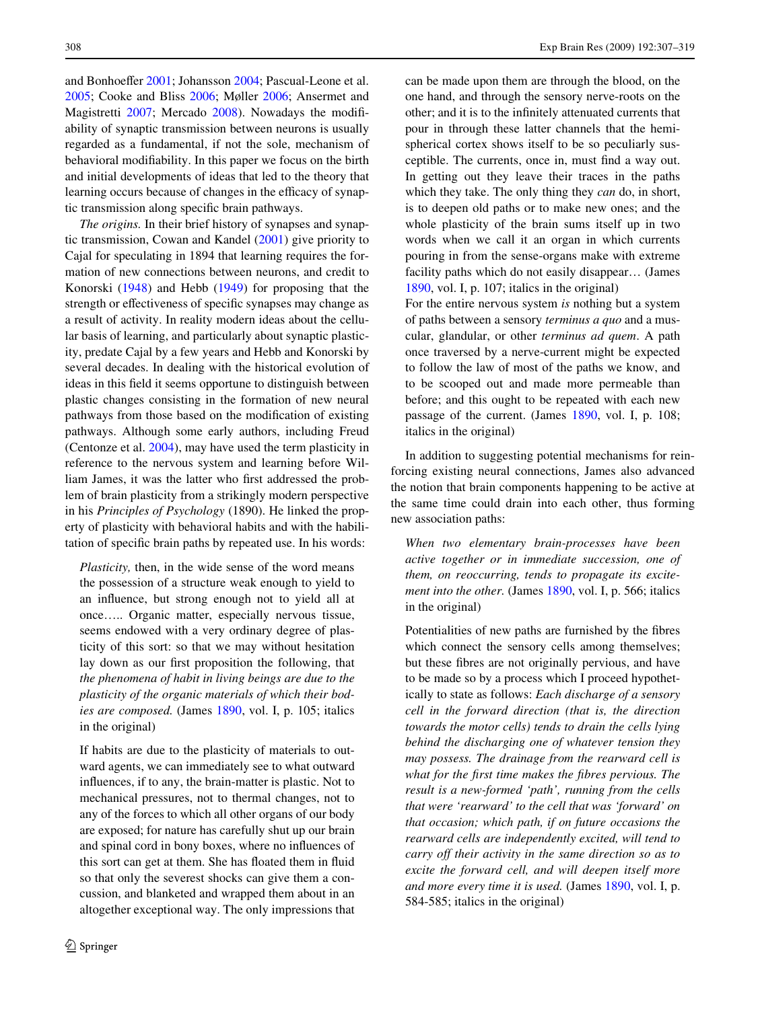and Bonhoeffer [2001;](#page-12-3) Johansson [2004](#page-11-2); Pascual-Leone et al. [2005](#page-12-4); Cooke and Bliss [2006;](#page-11-3) Møller [2006;](#page-12-5) Ansermet and Magistretti [2007](#page-11-4); Mercado [2008](#page-12-6)). Nowadays the modifiability of synaptic transmission between neurons is usually regarded as a fundamental, if not the sole, mechanism of behavioral modifiability. In this paper we focus on the birth and initial developments of ideas that led to the theory that learning occurs because of changes in the efficacy of synaptic transmission along specific brain pathways.

*The origins.* In their brief history of synapses and synaptic transmission, Cowan and Kandel ([2001\)](#page-11-5) give priority to Cajal for speculating in 1894 that learning requires the formation of new connections between neurons, and credit to Konorski ([1948\)](#page-11-0) and Hebb ([1949\)](#page-11-6) for proposing that the strength or effectiveness of specific synapses may change as a result of activity. In reality modern ideas about the cellular basis of learning, and particularly about synaptic plasticity, predate Cajal by a few years and Hebb and Konorski by several decades. In dealing with the historical evolution of ideas in this field it seems opportune to distinguish between plastic changes consisting in the formation of new neural pathways from those based on the modification of existing pathways. Although some early authors, including Freud (Centonze et al. [2004\)](#page-11-7), may have used the term plasticity in reference to the nervous system and learning before William James, it was the latter who first addressed the problem of brain plasticity from a strikingly modern perspective in his *Principles of Psychology* (1890). He linked the property of plasticity with behavioral habits and with the habilitation of specific brain paths by repeated use. In his words:

*Plasticity,* then, in the wide sense of the word means the possession of a structure weak enough to yield to an influence, but strong enough not to yield all at once….. Organic matter, especially nervous tissue, seems endowed with a very ordinary degree of plasticity of this sort: so that we may without hesitation lay down as our first proposition the following, that *the phenomena of habit in living beings are due to the plasticity of the organic materials of which their bodies are composed.* (James [1890](#page-11-8), vol. I, p. 105; italics in the original)

If habits are due to the plasticity of materials to outward agents, we can immediately see to what outward influences, if to any, the brain-matter is plastic. Not to mechanical pressures, not to thermal changes, not to any of the forces to which all other organs of our body are exposed; for nature has carefully shut up our brain and spinal cord in bony boxes, where no influences of this sort can get at them. She has floated them in fluid so that only the severest shocks can give them a concussion, and blanketed and wrapped them about in an altogether exceptional way. The only impressions that can be made upon them are through the blood, on the one hand, and through the sensory nerve-roots on the other; and it is to the infinitely attenuated currents that pour in through these latter channels that the hemispherical cortex shows itself to be so peculiarly susceptible. The currents, once in, must find a way out. In getting out they leave their traces in the paths which they take. The only thing they *can* do, in short, is to deepen old paths or to make new ones; and the whole plasticity of the brain sums itself up in two words when we call it an organ in which currents pouring in from the sense-organs make with extreme facility paths which do not easily disappear… (James [1890](#page-11-8), vol. I, p. 107; italics in the original)

For the entire nervous system *is* nothing but a system of paths between a sensory *terminus a quo* and a muscular, glandular, or other *terminus ad quem*. A path once traversed by a nerve-current might be expected to follow the law of most of the paths we know, and to be scooped out and made more permeable than before; and this ought to be repeated with each new passage of the current. (James [1890,](#page-11-8) vol. I, p. 108; italics in the original)

In addition to suggesting potential mechanisms for reinforcing existing neural connections, James also advanced the notion that brain components happening to be active at the same time could drain into each other, thus forming new association paths:

*When two elementary brain-processes have been active together or in immediate succession, one of them, on reoccurring, tends to propagate its excitement into the other.* (James [1890](#page-11-8), vol. I, p. 566; italics in the original)

Potentialities of new paths are furnished by the fibres which connect the sensory cells among themselves; but these fibres are not originally pervious, and have to be made so by a process which I proceed hypothetically to state as follows: *Each discharge of a sensory cell in the forward direction (that is, the direction towards the motor cells) tends to drain the cells lying behind the discharging one of whatever tension they may possess. The drainage from the rearward cell is what for the first time makes the fibres pervious. The result is a new-formed 'path', running from the cells that were 'rearward' to the cell that was 'forward' on that occasion; which path, if on future occasions the rearward cells are independently excited, will tend to carry off their activity in the same direction so as to excite the forward cell, and will deepen itself more and more every time it is used.* (James [1890,](#page-11-8) vol. I, p. 584-585; italics in the original)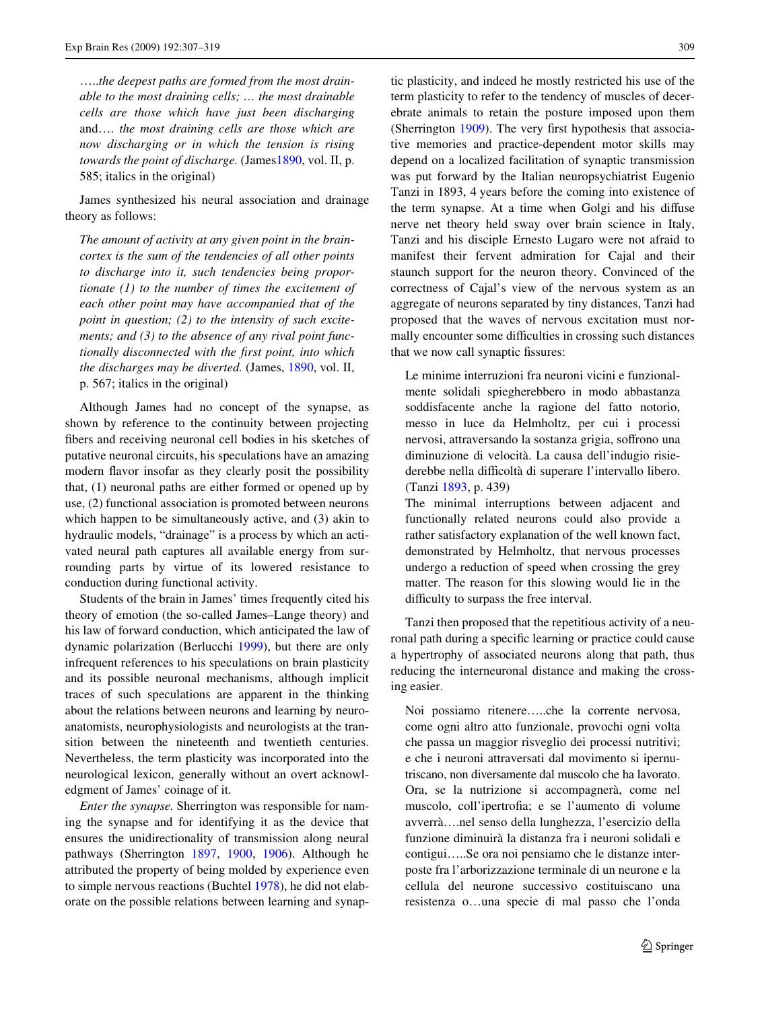…..*the deepest paths are formed from the most drainable to the most draining cells; … the most drainable cells are those which have just been discharging* and…. *the most draining cells are those which are now discharging or in which the tension is rising towards the point of discharge.* (Jame[s1890](#page-11-8), vol. II, p. 585; italics in the original)

James synthesized his neural association and drainage theory as follows:

*The amount of activity at any given point in the braincortex is the sum of the tendencies of all other points to discharge into it, such tendencies being proportionate (1) to the number of times the excitement of each other point may have accompanied that of the point in question; (2) to the intensity of such excitements; and (3) to the absence of any rival point functionally disconnected with the first point, into which the discharges may be diverted.* (James, [1890,](#page-11-8) vol. II, p. 567; italics in the original)

Although James had no concept of the synapse, as shown by reference to the continuity between projecting fibers and receiving neuronal cell bodies in his sketches of putative neuronal circuits, his speculations have an amazing modern flavor insofar as they clearly posit the possibility that, (1) neuronal paths are either formed or opened up by use, (2) functional association is promoted between neurons which happen to be simultaneously active, and (3) akin to hydraulic models, "drainage" is a process by which an activated neural path captures all available energy from surrounding parts by virtue of its lowered resistance to conduction during functional activity.

Students of the brain in James' times frequently cited his theory of emotion (the so-called James–Lange theory) and his law of forward conduction, which anticipated the law of dynamic polarization (Berlucchi [1999](#page-11-9)), but there are only infrequent references to his speculations on brain plasticity and its possible neuronal mechanisms, although implicit traces of such speculations are apparent in the thinking about the relations between neurons and learning by neuroanatomists, neurophysiologists and neurologists at the transition between the nineteenth and twentieth centuries. Nevertheless, the term plasticity was incorporated into the neurological lexicon, generally without an overt acknowledgment of James' coinage of it.

*Enter the synapse.* Sherrington was responsible for naming the synapse and for identifying it as the device that ensures the unidirectionality of transmission along neural pathways (Sherrington [1897,](#page-12-7) [1900,](#page-12-8) [1906](#page-12-9)). Although he attributed the property of being molded by experience even to simple nervous reactions (Buchtel [1978](#page-11-1)), he did not elaborate on the possible relations between learning and synaptic plasticity, and indeed he mostly restricted his use of the term plasticity to refer to the tendency of muscles of decerebrate animals to retain the posture imposed upon them (Sherrington  $1909$ ). The very first hypothesis that associative memories and practice-dependent motor skills may depend on a localized facilitation of synaptic transmission was put forward by the Italian neuropsychiatrist Eugenio Tanzi in 1893, 4 years before the coming into existence of the term synapse. At a time when Golgi and his diffuse nerve net theory held sway over brain science in Italy, Tanzi and his disciple Ernesto Lugaro were not afraid to manifest their fervent admiration for Cajal and their staunch support for the neuron theory. Convinced of the correctness of Cajal's view of the nervous system as an aggregate of neurons separated by tiny distances, Tanzi had proposed that the waves of nervous excitation must normally encounter some difficulties in crossing such distances that we now call synaptic fissures:

Le minime interruzioni fra neuroni vicini e funzionalmente solidali spiegherebbero in modo abbastanza soddisfacente anche la ragione del fatto notorio, messo in luce da Helmholtz, per cui i processi nervosi, attraversando la sostanza grigia, soffrono una diminuzione di velocità. La causa dell'indugio risiederebbe nella difficoltà di superare l'intervallo libero. (Tanzi [1893](#page-12-11), p. 439)

The minimal interruptions between adjacent and functionally related neurons could also provide a rather satisfactory explanation of the well known fact, demonstrated by Helmholtz, that nervous processes undergo a reduction of speed when crossing the grey matter. The reason for this slowing would lie in the difficulty to surpass the free interval.

Tanzi then proposed that the repetitious activity of a neuronal path during a specific learning or practice could cause a hypertrophy of associated neurons along that path, thus reducing the interneuronal distance and making the crossing easier.

Noi possiamo ritenere…..che la corrente nervosa, come ogni altro atto funzionale, provochi ogni volta che passa un maggior risveglio dei processi nutritivi; e che i neuroni attraversati dal movimento si ipernutriscano, non diversamente dal muscolo che ha lavorato. Ora, se la nutrizione si accompagnerà, come nel muscolo, coll'ipertrofia; e se l'aumento di volume avverrà….nel senso della lunghezza, l'esercizio della funzione diminuirà la distanza fra i neuroni solidali e contigui…..Se ora noi pensiamo che le distanze interposte fra l'arborizzazione terminale di un neurone e la cellula del neurone successivo costituiscano una resistenza o…una specie di mal passo che l'onda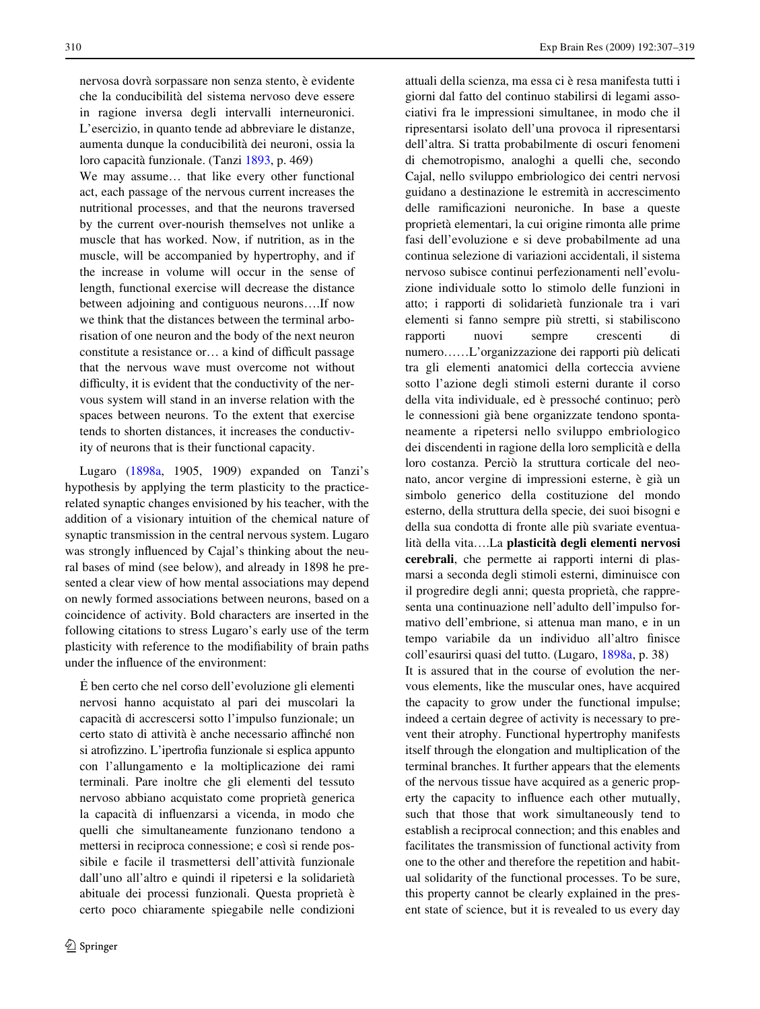nervosa dovrà sorpassare non senza stento, è evidente che la conducibilità del sistema nervoso deve essere in ragione inversa degli intervalli interneuronici. L'esercizio, in quanto tende ad abbreviare le distanze, aumenta dunque la conducibilità dei neuroni, ossia la loro capacità funzionale. (Tanzi [1893,](#page-12-11) p. 469)

We may assume… that like every other functional act, each passage of the nervous current increases the nutritional processes, and that the neurons traversed by the current over-nourish themselves not unlike a muscle that has worked. Now, if nutrition, as in the muscle, will be accompanied by hypertrophy, and if the increase in volume will occur in the sense of length, functional exercise will decrease the distance between adjoining and contiguous neurons….If now we think that the distances between the terminal arborisation of one neuron and the body of the next neuron constitute a resistance or... a kind of difficult passage that the nervous wave must overcome not without difficulty, it is evident that the conductivity of the nervous system will stand in an inverse relation with the spaces between neurons. To the extent that exercise tends to shorten distances, it increases the conductivity of neurons that is their functional capacity.

Lugaro ([1898a](#page-12-12), 1905, 1909) expanded on Tanzi's hypothesis by applying the term plasticity to the practicerelated synaptic changes envisioned by his teacher, with the addition of a visionary intuition of the chemical nature of synaptic transmission in the central nervous system. Lugaro was strongly influenced by Cajal's thinking about the neural bases of mind (see below), and already in 1898 he presented a clear view of how mental associations may depend on newly formed associations between neurons, based on a coincidence of activity. Bold characters are inserted in the following citations to stress Lugaro's early use of the term plasticity with reference to the modifiability of brain paths under the influence of the environment:

ð ben certo che nel corso dell'evoluzione gli elementi nervosi hanno acquistato al pari dei muscolari la capacità di accrescersi sotto l'impulso funzionale; un certo stato di attività è anche necessario affinché non si atrofizzino. L'ipertrofia funzionale si esplica appunto con l'allungamento e la moltiplicazione dei rami terminali. Pare inoltre che gli elementi del tessuto nervoso abbiano acquistato come proprietà generica la capacità di influenzarsi a vicenda, in modo che quelli che simultaneamente funzionano tendono a mettersi in reciproca connessione; e così si rende possibile e facile il trasmettersi dell'attività funzionale dall'uno all'altro e quindi il ripetersi e la solidarietà abituale dei processi funzionali. Questa proprietà è certo poco chiaramente spiegabile nelle condizioni attuali della scienza, ma essa ci è resa manifesta tutti i giorni dal fatto del continuo stabilirsi di legami associativi fra le impressioni simultanee, in modo che il ripresentarsi isolato dell'una provoca il ripresentarsi dell'altra. Si tratta probabilmente di oscuri fenomeni di chemotropismo, analoghi a quelli che, secondo Cajal, nello sviluppo embriologico dei centri nervosi guidano a destinazione le estremità in accrescimento delle ramificazioni neuroniche. In base a queste proprietà elementari, la cui origine rimonta alle prime fasi dell'evoluzione e si deve probabilmente ad una continua selezione di variazioni accidentali, il sistema nervoso subisce continui perfezionamenti nell'evoluzione individuale sotto lo stimolo delle funzioni in atto; i rapporti di solidarietà funzionale tra i vari elementi si fanno sempre più stretti, si stabiliscono rapporti nuovi sempre crescenti di numero……L'organizzazione dei rapporti più delicati tra gli elementi anatomici della corteccia avviene sotto l'azione degli stimoli esterni durante il corso della vita individuale, ed è pressoché continuo; però le connessioni già bene organizzate tendono spontaneamente a ripetersi nello sviluppo embriologico dei discendenti in ragione della loro semplicità e della loro costanza. Perciò la struttura corticale del neonato, ancor vergine di impressioni esterne, è già un simbolo generico della costituzione del mondo esterno, della struttura della specie, dei suoi bisogni e della sua condotta di fronte alle più svariate eventualità della vita….La **plasticità degli elementi nervosi cerebrali**, che permette ai rapporti interni di plasmarsi a seconda degli stimoli esterni, diminuisce con il progredire degli anni; questa proprietà, che rappresenta una continuazione nell'adulto dell'impulso formativo dell'embrione, si attenua man mano, e in un tempo variabile da un individuo all'altro finisce coll'esaurirsi quasi del tutto. (Lugaro, [1898a](#page-12-12), p. 38) It is assured that in the course of evolution the nervous elements, like the muscular ones, have acquired the capacity to grow under the functional impulse; indeed a certain degree of activity is necessary to prevent their atrophy. Functional hypertrophy manifests itself through the elongation and multiplication of the terminal branches. It further appears that the elements of the nervous tissue have acquired as a generic property the capacity to influence each other mutually, such that those that work simultaneously tend to establish a reciprocal connection; and this enables and facilitates the transmission of functional activity from one to the other and therefore the repetition and habitual solidarity of the functional processes. To be sure, this property cannot be clearly explained in the present state of science, but it is revealed to us every day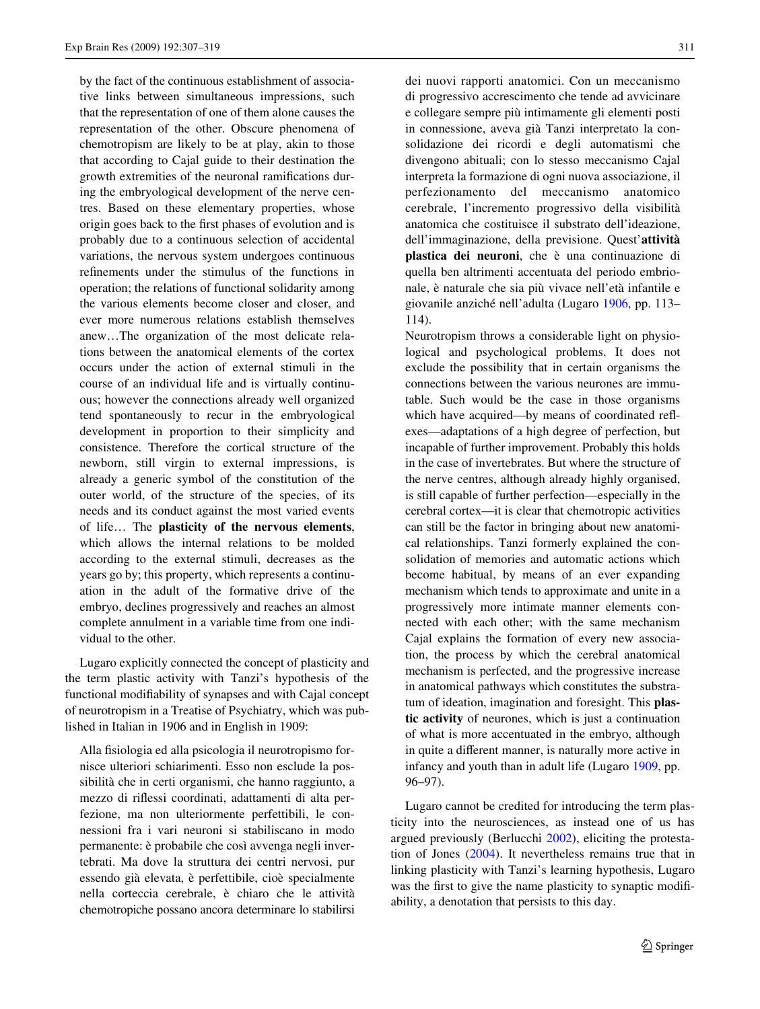by the fact of the continuous establishment of associative links between simultaneous impressions, such that the representation of one of them alone causes the representation of the other. Obscure phenomena of chemotropism are likely to be at play, akin to those that according to Cajal guide to their destination the growth extremities of the neuronal ramifications during the embryological development of the nerve centres. Based on these elementary properties, whose origin goes back to the first phases of evolution and is probably due to a continuous selection of accidental variations, the nervous system undergoes continuous refinements under the stimulus of the functions in operation; the relations of functional solidarity among the various elements become closer and closer, and ever more numerous relations establish themselves anew…The organization of the most delicate relations between the anatomical elements of the cortex occurs under the action of external stimuli in the course of an individual life and is virtually continuous; however the connections already well organized tend spontaneously to recur in the embryological development in proportion to their simplicity and consistence. Therefore the cortical structure of the newborn, still virgin to external impressions, is already a generic symbol of the constitution of the outer world, of the structure of the species, of its needs and its conduct against the most varied events of life… The **plasticity of the nervous elements**, which allows the internal relations to be molded according to the external stimuli, decreases as the years go by; this property, which represents a continuation in the adult of the formative drive of the embryo, declines progressively and reaches an almost complete annulment in a variable time from one individual to the other.

Lugaro explicitly connected the concept of plasticity and the term plastic activity with Tanzi's hypothesis of the functional modifiability of synapses and with Cajal concept of neurotropism in a Treatise of Psychiatry, which was published in Italian in 1906 and in English in 1909:

Alla fisiologia ed alla psicologia il neurotropismo fornisce ulteriori schiarimenti. Esso non esclude la possibilità che in certi organismi, che hanno raggiunto, a mezzo di riflessi coordinati, adattamenti di alta perfezione, ma non ulteriormente perfettibili, le connessioni fra i vari neuroni si stabiliscano in modo permanente: è probabile che così avvenga negli invertebrati. Ma dove la struttura dei centri nervosi, pur essendo già elevata, è perfettibile, cioè specialmente nella corteccia cerebrale, è chiaro che le attività chemotropiche possano ancora determinare lo stabilirsi dei nuovi rapporti anatomici. Con un meccanismo di progressivo accrescimento che tende ad avvicinare e collegare sempre più intimamente gli elementi posti in connessione, aveva già Tanzi interpretato la consolidazione dei ricordi e degli automatismi che divengono abituali; con lo stesso meccanismo Cajal interpreta la formazione di ogni nuova associazione, il perfezionamento del meccanismo anatomico cerebrale, l'incremento progressivo della visibilità anatomica che costituisce il substrato dell'ideazione, dell'immaginazione, della previsione. Quest'**attività plastica dei neuroni**, che è una continuazione di quella ben altrimenti accentuata del periodo embrionale, è naturale che sia più vivace nell'età infantile e giovanile anziché nell'adulta (Lugaro [1906,](#page-12-13) pp. 113– 114).

Neurotropism throws a considerable light on physiological and psychological problems. It does not exclude the possibility that in certain organisms the connections between the various neurones are immutable. Such would be the case in those organisms which have acquired—by means of coordinated reflexes—adaptations of a high degree of perfection, but incapable of further improvement. Probably this holds in the case of invertebrates. But where the structure of the nerve centres, although already highly organised, is still capable of further perfection—especially in the cerebral cortex—it is clear that chemotropic activities can still be the factor in bringing about new anatomical relationships. Tanzi formerly explained the consolidation of memories and automatic actions which become habitual, by means of an ever expanding mechanism which tends to approximate and unite in a progressively more intimate manner elements connected with each other; with the same mechanism Cajal explains the formation of every new association, the process by which the cerebral anatomical mechanism is perfected, and the progressive increase in anatomical pathways which constitutes the substratum of ideation, imagination and foresight. This **plastic activity** of neurones, which is just a continuation of what is more accentuated in the embryo, although in quite a different manner, is naturally more active in infancy and youth than in adult life (Lugaro [1909](#page-12-14), pp. 96–97).

Lugaro cannot be credited for introducing the term plasticity into the neurosciences, as instead one of us has argued previously (Berlucchi [2002](#page-11-10)), eliciting the protestation of Jones [\(2004](#page-11-11)). It nevertheless remains true that in linking plasticity with Tanzi's learning hypothesis, Lugaro was the first to give the name plasticity to synaptic modifiability, a denotation that persists to this day.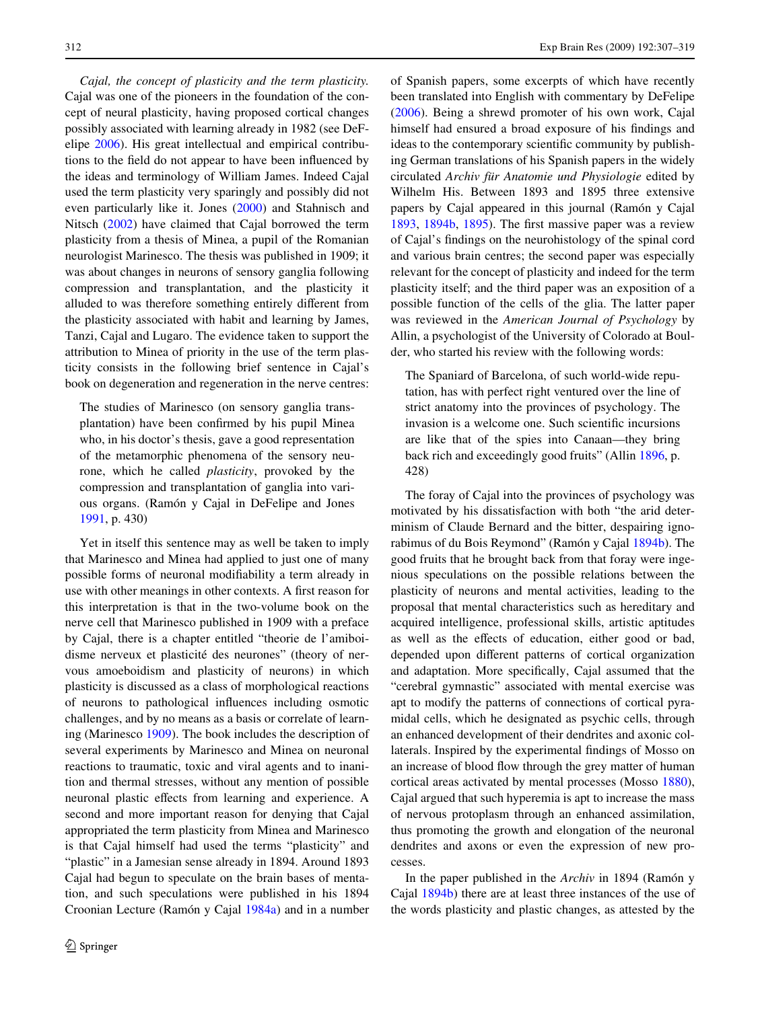*Cajal, the concept of plasticity and the term plasticity.* Cajal was one of the pioneers in the foundation of the concept of neural plasticity, having proposed cortical changes possibly associated with learning already in 1982 (see DeFelipe [2006](#page-11-12)). His great intellectual and empirical contributions to the field do not appear to have been influenced by the ideas and terminology of William James. Indeed Cajal used the term plasticity very sparingly and possibly did not even particularly like it. Jones ([2000\)](#page-11-13) and Stahnisch and Nitsch [\(2002](#page-12-15)) have claimed that Cajal borrowed the term plasticity from a thesis of Minea, a pupil of the Romanian neurologist Marinesco. The thesis was published in 1909; it was about changes in neurons of sensory ganglia following compression and transplantation, and the plasticity it alluded to was therefore something entirely different from the plasticity associated with habit and learning by James, Tanzi, Cajal and Lugaro. The evidence taken to support the attribution to Minea of priority in the use of the term plasticity consists in the following brief sentence in Cajal's book on degeneration and regeneration in the nerve centres:

The studies of Marinesco (on sensory ganglia transplantation) have been confirmed by his pupil Minea who, in his doctor's thesis, gave a good representation of the metamorphic phenomena of the sensory neurone, which he called *plasticity*, provoked by the compression and transplantation of ganglia into various organs. (Ramón y Cajal in DeFelipe and Jones [1991](#page-11-14), p. 430)

Yet in itself this sentence may as well be taken to imply that Marinesco and Minea had applied to just one of many possible forms of neuronal modifiability a term already in use with other meanings in other contexts. A first reason for this interpretation is that in the two-volume book on the nerve cell that Marinesco published in 1909 with a preface by Cajal, there is a chapter entitled "theorie de l'amiboidisme nerveux et plasticité des neurones" (theory of nervous amoeboidism and plasticity of neurons) in which plasticity is discussed as a class of morphological reactions of neurons to pathological influences including osmotic challenges, and by no means as a basis or correlate of learning (Marinesco [1909](#page-12-16)). The book includes the description of several experiments by Marinesco and Minea on neuronal reactions to traumatic, toxic and viral agents and to inanition and thermal stresses, without any mention of possible neuronal plastic effects from learning and experience. A second and more important reason for denying that Cajal appropriated the term plasticity from Minea and Marinesco is that Cajal himself had used the terms "plasticity" and "plastic" in a Jamesian sense already in 1894. Around 1893 Cajal had begun to speculate on the brain bases of mentation, and such speculations were published in his 1894 Croonian Lecture (Ramón y Cajal [1984a\)](#page-12-17) and in a number

of Spanish papers, some excerpts of which have recently been translated into English with commentary by DeFelipe [\(2006\)](#page-11-12). Being a shrewd promoter of his own work, Cajal himself had ensured a broad exposure of his findings and ideas to the contemporary scientific community by publishing German translations of his Spanish papers in the widely circulated *Archiv für Anatomie und Physiologie* edited by Wilhelm His. Between 1893 and 1895 three extensive papers by Cajal appeared in this journal (Ramón y Cajal  $1893$ ,  $1894b$ ,  $1895$ ). The first massive paper was a review of Cajal's findings on the neurohistology of the spinal cord and various brain centres; the second paper was especially relevant for the concept of plasticity and indeed for the term plasticity itself; and the third paper was an exposition of a possible function of the cells of the glia. The latter paper was reviewed in the *American Journal of Psychology* by Allin, a psychologist of the University of Colorado at Boulder, who started his review with the following words:

The Spaniard of Barcelona, of such world-wide reputation, has with perfect right ventured over the line of strict anatomy into the provinces of psychology. The invasion is a welcome one. Such scientific incursions are like that of the spies into Canaan—they bring back rich and exceedingly good fruits" (Allin [1896,](#page-11-15) p. 428)

The foray of Cajal into the provinces of psychology was motivated by his dissatisfaction with both "the arid determinism of Claude Bernard and the bitter, despairing ignorabimus of du Bois Reymond" (Ramón y Cajal [1894b\)](#page-12-19). The good fruits that he brought back from that foray were ingenious speculations on the possible relations between the plasticity of neurons and mental activities, leading to the proposal that mental characteristics such as hereditary and acquired intelligence, professional skills, artistic aptitudes as well as the effects of education, either good or bad, depended upon different patterns of cortical organization and adaptation. More specifically, Cajal assumed that the "cerebral gymnastic" associated with mental exercise was apt to modify the patterns of connections of cortical pyramidal cells, which he designated as psychic cells, through an enhanced development of their dendrites and axonic collaterals. Inspired by the experimental findings of Mosso on an increase of blood flow through the grey matter of human cortical areas activated by mental processes (Mosso [1880](#page-12-21)), Cajal argued that such hyperemia is apt to increase the mass of nervous protoplasm through an enhanced assimilation, thus promoting the growth and elongation of the neuronal dendrites and axons or even the expression of new processes.

In the paper published in the *Archiv* in 1894 (Ramón y Cajal [1894b](#page-12-19)) there are at least three instances of the use of the words plasticity and plastic changes, as attested by the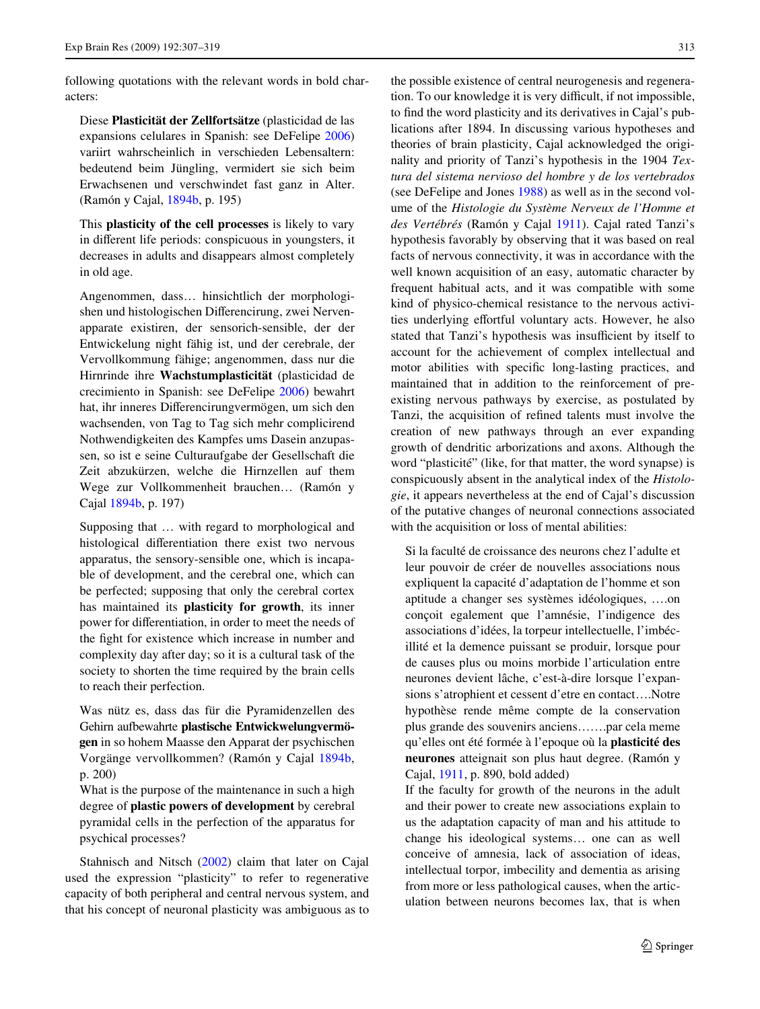following quotations with the relevant words in bold characters:

Diese **Plasticität der Zellfortsätze** (plasticidad de las expansions celulares in Spanish: see DeFelipe [2006](#page-11-12)) variirt wahrscheinlich in verschieden Lebensaltern: bedeutend beim Jüngling, vermidert sie sich beim Erwachsenen und verschwindet fast ganz in Alter. (Ramón y Cajal, [1894b,](#page-12-19) p. 195)

This **plasticity of the cell processes** is likely to vary in different life periods: conspicuous in youngsters, it decreases in adults and disappears almost completely in old age.

Angenommen, dass… hinsichtlich der morphologishen und histologischen Differencirung, zwei Nervenapparate existiren, der sensorich-sensible, der der Entwickelung night fähig ist, und der cerebrale, der Vervollkommung fähige; angenommen, dass nur die Hirnrinde ihre **Wachstumplasticität** (plasticidad de crecimiento in Spanish: see DeFelipe [2006\)](#page-11-12) bewahrt hat, ihr inneres Differencirungvermögen, um sich den wachsenden, von Tag to Tag sich mehr complicirend Nothwendigkeiten des Kampfes ums Dasein anzupassen, so ist e seine Culturaufgabe der Gesellschaft die Zeit abzukürzen, welche die Hirnzellen auf them Wege zur Vollkommenheit brauchen… (Ramón y Cajal [1894b,](#page-12-19) p. 197)

Supposing that … with regard to morphological and histological differentiation there exist two nervous apparatus, the sensory-sensible one, which is incapable of development, and the cerebral one, which can be perfected; supposing that only the cerebral cortex has maintained its **plasticity for growth**, its inner power for differentiation, in order to meet the needs of the fight for existence which increase in number and complexity day after day; so it is a cultural task of the society to shorten the time required by the brain cells to reach their perfection.

Was nütz es, dass das für die Pyramidenzellen des Gehirn aufbewahrte **plastische Entwickwelungvermögen** in so hohem Maasse den Apparat der psychischen Vorgänge vervollkommen? (Ramón y Cajal [1894b](#page-12-19), p. 200)

What is the purpose of the maintenance in such a high degree of **plastic powers of development** by cerebral pyramidal cells in the perfection of the apparatus for psychical processes?

Stahnisch and Nitsch [\(2002](#page-12-15)) claim that later on Cajal used the expression "plasticity" to refer to regenerative capacity of both peripheral and central nervous system, and that his concept of neuronal plasticity was ambiguous as to the possible existence of central neurogenesis and regeneration. To our knowledge it is very difficult, if not impossible, to find the word plasticity and its derivatives in Cajal's publications after 1894. In discussing various hypotheses and theories of brain plasticity, Cajal acknowledged the originality and priority of Tanzi's hypothesis in the 1904 *Textura del sistema nervioso del hombre y de los vertebrados* (see DeFelipe and Jones [1988\)](#page-11-16) as well as in the second volume of the *Histologie du Système Nerveux de l'Homme et des Vertébrés* (Ramón y Cajal [1911\)](#page-12-22). Cajal rated Tanzi's hypothesis favorably by observing that it was based on real facts of nervous connectivity, it was in accordance with the well known acquisition of an easy, automatic character by frequent habitual acts, and it was compatible with some kind of physico-chemical resistance to the nervous activities underlying effortful voluntary acts. However, he also stated that Tanzi's hypothesis was insufficient by itself to account for the achievement of complex intellectual and motor abilities with specific long-lasting practices, and maintained that in addition to the reinforcement of preexisting nervous pathways by exercise, as postulated by Tanzi, the acquisition of refined talents must involve the creation of new pathways through an ever expanding growth of dendritic arborizations and axons. Although the word "plasticité" (like, for that matter, the word synapse) is conspicuously absent in the analytical index of the *Histologie*, it appears nevertheless at the end of Cajal's discussion of the putative changes of neuronal connections associated with the acquisition or loss of mental abilities:

Si la faculté de croissance des neurons chez l'adulte et leur pouvoir de créer de nouvelles associations nous expliquent la capacité d'adaptation de l'homme et son aptitude a changer ses systèmes idéologiques, ….on conçoit egalement que l'amnésie, l'indigence des associations d'idées, la torpeur intellectuelle, l'imbécillité et la demence puissant se produir, lorsque pour de causes plus ou moins morbide l'articulation entre neurones devient lâche, c'est-à-dire lorsque l'expansions s'atrophient et cessent d'etre en contact….Notre hypothèse rende même compte de la conservation plus grande des souvenirs anciens…….par cela meme qu'elles ont été formée à l'epoque où la **plasticité des neurones** atteignait son plus haut degree. (Ramón y Cajal, [1911,](#page-12-22) p. 890, bold added)

If the faculty for growth of the neurons in the adult and their power to create new associations explain to us the adaptation capacity of man and his attitude to change his ideological systems… one can as well conceive of amnesia, lack of association of ideas, intellectual torpor, imbecility and dementia as arising from more or less pathological causes, when the articulation between neurons becomes lax, that is when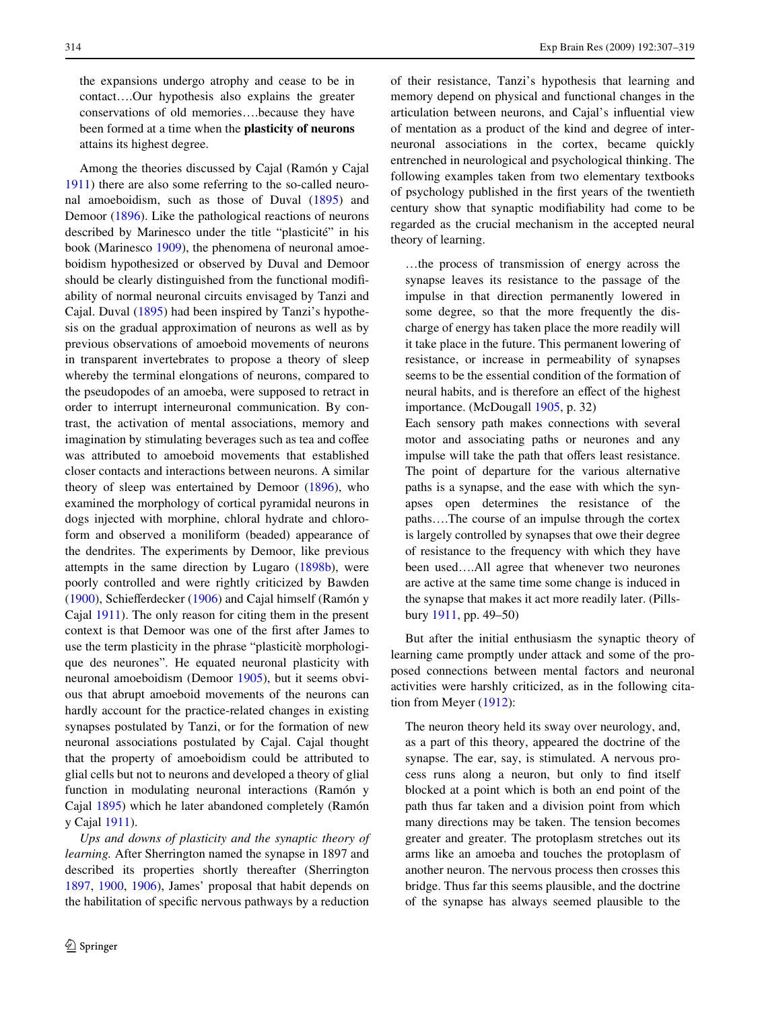the expansions undergo atrophy and cease to be in contact….Our hypothesis also explains the greater conservations of old memories….because they have been formed at a time when the **plasticity of neurons** attains its highest degree.

Among the theories discussed by Cajal (Ramón y Cajal [1911](#page-12-22)) there are also some referring to the so-called neuronal amoeboidism, such as those of Duval [\(1895](#page-11-17)) and Demoor ([1896](#page-11-18)). Like the pathological reactions of neurons described by Marinesco under the title "plasticité" in his book (Marinesco [1909](#page-12-16)), the phenomena of neuronal amoeboidism hypothesized or observed by Duval and Demoor should be clearly distinguished from the functional modifiability of normal neuronal circuits envisaged by Tanzi and Cajal. Duval ([1895](#page-11-17)) had been inspired by Tanzi's hypothesis on the gradual approximation of neurons as well as by previous observations of amoeboid movements of neurons in transparent invertebrates to propose a theory of sleep whereby the terminal elongations of neurons, compared to the pseudopodes of an amoeba, were supposed to retract in order to interrupt interneuronal communication. By contrast, the activation of mental associations, memory and imagination by stimulating beverages such as tea and coffee was attributed to amoeboid movements that established closer contacts and interactions between neurons. A similar theory of sleep was entertained by Demoor ([1896\)](#page-11-18), who examined the morphology of cortical pyramidal neurons in dogs injected with morphine, chloral hydrate and chloroform and observed a moniliform (beaded) appearance of the dendrites. The experiments by Demoor, like previous attempts in the same direction by Lugaro [\(1898b](#page-12-23)), were poorly controlled and were rightly criticized by Bawden [\(1900](#page-11-19)), Schiefferdecker ([1906\)](#page-12-24) and Cajal himself (Ramón y Cajal [1911\)](#page-12-22). The only reason for citing them in the present context is that Demoor was one of the first after James to use the term plasticity in the phrase "plasticitè morphologique des neurones". He equated neuronal plasticity with neuronal amoeboidism (Demoor [1905](#page-11-20)), but it seems obvious that abrupt amoeboid movements of the neurons can hardly account for the practice-related changes in existing synapses postulated by Tanzi, or for the formation of new neuronal associations postulated by Cajal. Cajal thought that the property of amoeboidism could be attributed to glial cells but not to neurons and developed a theory of glial function in modulating neuronal interactions (Ramón y Cajal [1895](#page-12-20)) which he later abandoned completely (Ramón y Cajal [1911](#page-12-22)).

*Ups and downs of plasticity and the synaptic theory of learning.* After Sherrington named the synapse in 1897 and described its properties shortly thereafter (Sherrington [1897](#page-12-7), [1900,](#page-12-8) [1906\)](#page-12-9), James' proposal that habit depends on the habilitation of specific nervous pathways by a reduction

of their resistance, Tanzi's hypothesis that learning and memory depend on physical and functional changes in the articulation between neurons, and Cajal's influential view of mentation as a product of the kind and degree of interneuronal associations in the cortex, became quickly entrenched in neurological and psychological thinking. The following examples taken from two elementary textbooks of psychology published in the first years of the twentieth century show that synaptic modifiability had come to be regarded as the crucial mechanism in the accepted neural theory of learning.

…the process of transmission of energy across the synapse leaves its resistance to the passage of the impulse in that direction permanently lowered in some degree, so that the more frequently the discharge of energy has taken place the more readily will it take place in the future. This permanent lowering of resistance, or increase in permeability of synapses seems to be the essential condition of the formation of neural habits, and is therefore an effect of the highest importance. (McDougall [1905,](#page-12-25) p. 32)

Each sensory path makes connections with several motor and associating paths or neurones and any impulse will take the path that offers least resistance. The point of departure for the various alternative paths is a synapse, and the ease with which the synapses open determines the resistance of the paths….The course of an impulse through the cortex is largely controlled by synapses that owe their degree of resistance to the frequency with which they have been used….All agree that whenever two neurones are active at the same time some change is induced in the synapse that makes it act more readily later. (Pillsbury [1911](#page-12-26), pp. 49–50)

But after the initial enthusiasm the synaptic theory of learning came promptly under attack and some of the proposed connections between mental factors and neuronal activities were harshly criticized, as in the following citation from Meyer ([1912](#page-12-27)):

The neuron theory held its sway over neurology, and, as a part of this theory, appeared the doctrine of the synapse. The ear, say, is stimulated. A nervous process runs along a neuron, but only to find itself blocked at a point which is both an end point of the path thus far taken and a division point from which many directions may be taken. The tension becomes greater and greater. The protoplasm stretches out its arms like an amoeba and touches the protoplasm of another neuron. The nervous process then crosses this bridge. Thus far this seems plausible, and the doctrine of the synapse has always seemed plausible to the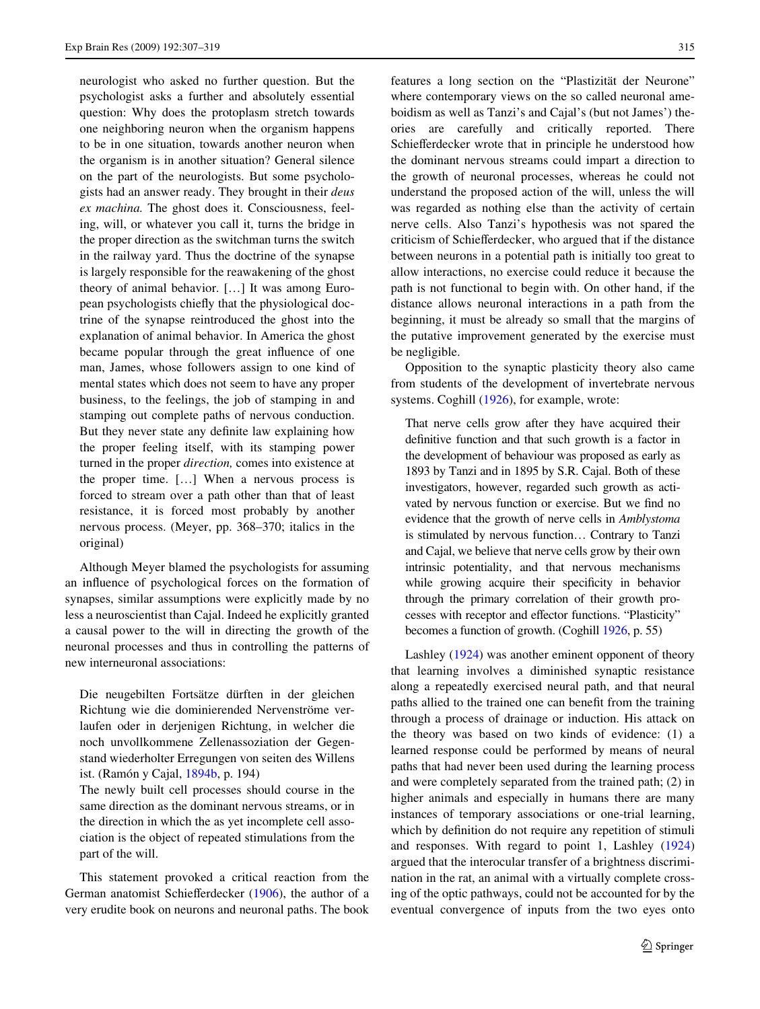neurologist who asked no further question. But the psychologist asks a further and absolutely essential question: Why does the protoplasm stretch towards one neighboring neuron when the organism happens to be in one situation, towards another neuron when the organism is in another situation? General silence on the part of the neurologists. But some psychologists had an answer ready. They brought in their *deus ex machina.* The ghost does it. Consciousness, feeling, will, or whatever you call it, turns the bridge in the proper direction as the switchman turns the switch in the railway yard. Thus the doctrine of the synapse is largely responsible for the reawakening of the ghost theory of animal behavior. […] It was among European psychologists chiefly that the physiological doctrine of the synapse reintroduced the ghost into the explanation of animal behavior. In America the ghost became popular through the great influence of one man, James, whose followers assign to one kind of mental states which does not seem to have any proper business, to the feelings, the job of stamping in and stamping out complete paths of nervous conduction. But they never state any definite law explaining how the proper feeling itself, with its stamping power turned in the proper *direction,* comes into existence at the proper time. […] When a nervous process is forced to stream over a path other than that of least resistance, it is forced most probably by another nervous process. (Meyer, pp. 368–370; italics in the original)

Although Meyer blamed the psychologists for assuming an influence of psychological forces on the formation of synapses, similar assumptions were explicitly made by no less a neuroscientist than Cajal. Indeed he explicitly granted a causal power to the will in directing the growth of the neuronal processes and thus in controlling the patterns of new interneuronal associations:

Die neugebilten Fortsätze dürften in der gleichen Richtung wie die dominierended Nervenströme verlaufen oder in derjenigen Richtung, in welcher die noch unvollkommene Zellenassoziation der Gegenstand wiederholter Erregungen von seiten des Willens ist. (Ramón y Cajal, [1894b](#page-12-19), p. 194)

The newly built cell processes should course in the same direction as the dominant nervous streams, or in the direction in which the as yet incomplete cell association is the object of repeated stimulations from the part of the will.

This statement provoked a critical reaction from the German anatomist Schiefferdecker [\(1906](#page-12-24)), the author of a very erudite book on neurons and neuronal paths. The book features a long section on the "Plastizität der Neurone" where contemporary views on the so called neuronal ameboidism as well as Tanzi's and Cajal's (but not James') theories are carefully and critically reported. There Schiefferdecker wrote that in principle he understood how the dominant nervous streams could impart a direction to the growth of neuronal processes, whereas he could not understand the proposed action of the will, unless the will was regarded as nothing else than the activity of certain nerve cells. Also Tanzi's hypothesis was not spared the criticism of Schiefferdecker, who argued that if the distance between neurons in a potential path is initially too great to allow interactions, no exercise could reduce it because the path is not functional to begin with. On other hand, if the distance allows neuronal interactions in a path from the beginning, it must be already so small that the margins of the putative improvement generated by the exercise must be negligible.

Opposition to the synaptic plasticity theory also came from students of the development of invertebrate nervous systems. Coghill ([1926\)](#page-11-21), for example, wrote:

That nerve cells grow after they have acquired their definitive function and that such growth is a factor in the development of behaviour was proposed as early as 1893 by Tanzi and in 1895 by S.R. Cajal. Both of these investigators, however, regarded such growth as activated by nervous function or exercise. But we find no evidence that the growth of nerve cells in *Amblystoma* is stimulated by nervous function… Contrary to Tanzi and Cajal, we believe that nerve cells grow by their own intrinsic potentiality, and that nervous mechanisms while growing acquire their specificity in behavior through the primary correlation of their growth processes with receptor and effector functions. "Plasticity" becomes a function of growth. (Coghill [1926](#page-11-21), p. 55)

Lashley [\(1924](#page-12-28)) was another eminent opponent of theory that learning involves a diminished synaptic resistance along a repeatedly exercised neural path, and that neural paths allied to the trained one can benefit from the training through a process of drainage or induction. His attack on the theory was based on two kinds of evidence: (1) a learned response could be performed by means of neural paths that had never been used during the learning process and were completely separated from the trained path; (2) in higher animals and especially in humans there are many instances of temporary associations or one-trial learning, which by definition do not require any repetition of stimuli and responses. With regard to point 1, Lashley ([1924\)](#page-12-28) argued that the interocular transfer of a brightness discrimination in the rat, an animal with a virtually complete crossing of the optic pathways, could not be accounted for by the eventual convergence of inputs from the two eyes onto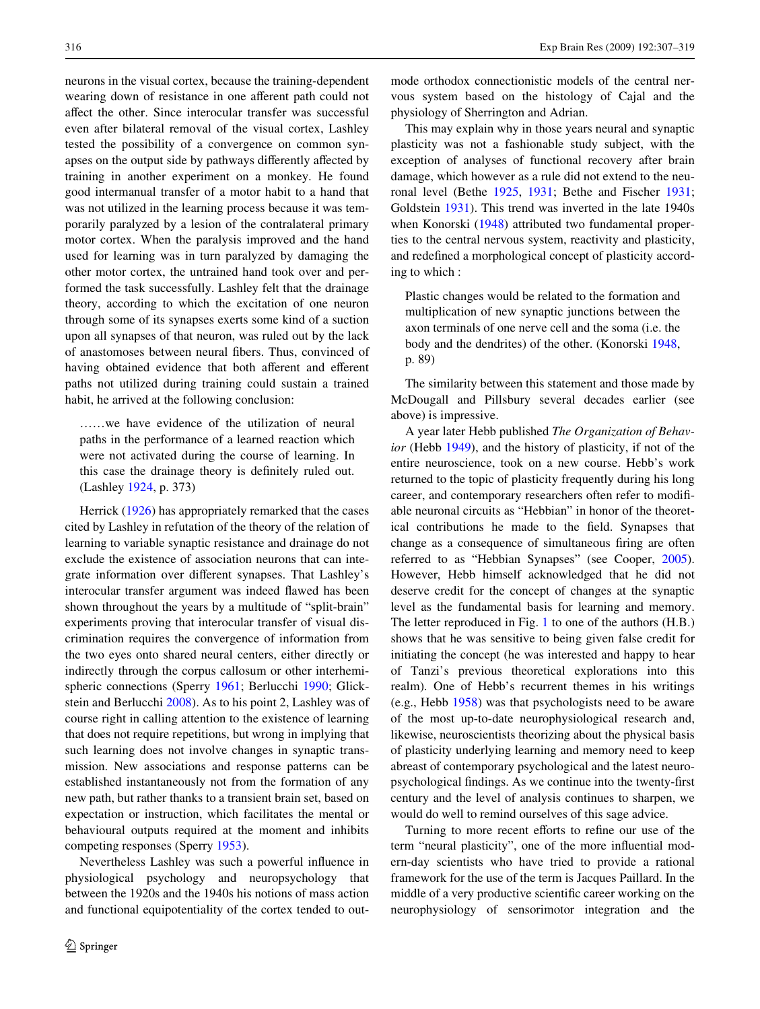neurons in the visual cortex, because the training-dependent wearing down of resistance in one afferent path could not affect the other. Since interocular transfer was successful even after bilateral removal of the visual cortex, Lashley tested the possibility of a convergence on common synapses on the output side by pathways differently affected by training in another experiment on a monkey. He found good intermanual transfer of a motor habit to a hand that was not utilized in the learning process because it was temporarily paralyzed by a lesion of the contralateral primary motor cortex. When the paralysis improved and the hand used for learning was in turn paralyzed by damaging the other motor cortex, the untrained hand took over and performed the task successfully. Lashley felt that the drainage theory, according to which the excitation of one neuron through some of its synapses exerts some kind of a suction upon all synapses of that neuron, was ruled out by the lack of anastomoses between neural fibers. Thus, convinced of having obtained evidence that both afferent and efferent paths not utilized during training could sustain a trained habit, he arrived at the following conclusion:

……we have evidence of the utilization of neural paths in the performance of a learned reaction which were not activated during the course of learning. In this case the drainage theory is definitely ruled out. (Lashley [1924,](#page-12-28) p. 373)

Herrick ([1926\)](#page-11-22) has appropriately remarked that the cases cited by Lashley in refutation of the theory of the relation of learning to variable synaptic resistance and drainage do not exclude the existence of association neurons that can integrate information over different synapses. That Lashley's interocular transfer argument was indeed flawed has been shown throughout the years by a multitude of "split-brain" experiments proving that interocular transfer of visual discrimination requires the convergence of information from the two eyes onto shared neural centers, either directly or indirectly through the corpus callosum or other interhemispheric connections (Sperry [1961](#page-12-29); Berlucchi [1990](#page-11-23); Glickstein and Berlucchi [2008](#page-11-24)). As to his point 2, Lashley was of course right in calling attention to the existence of learning that does not require repetitions, but wrong in implying that such learning does not involve changes in synaptic transmission. New associations and response patterns can be established instantaneously not from the formation of any new path, but rather thanks to a transient brain set, based on expectation or instruction, which facilitates the mental or behavioural outputs required at the moment and inhibits competing responses (Sperry [1953\)](#page-12-30).

Nevertheless Lashley was such a powerful influence in physiological psychology and neuropsychology that between the 1920s and the 1940s his notions of mass action and functional equipotentiality of the cortex tended to outmode orthodox connectionistic models of the central nervous system based on the histology of Cajal and the physiology of Sherrington and Adrian.

This may explain why in those years neural and synaptic plasticity was not a fashionable study subject, with the exception of analyses of functional recovery after brain damage, which however as a rule did not extend to the neuronal level (Bethe [1925](#page-11-25), [1931](#page-11-26); Bethe and Fischer [1931;](#page-11-27) Goldstein [1931](#page-11-28)). This trend was inverted in the late 1940s when Konorski ([1948\)](#page-11-0) attributed two fundamental properties to the central nervous system, reactivity and plasticity, and redefined a morphological concept of plasticity according to which :

Plastic changes would be related to the formation and multiplication of new synaptic junctions between the axon terminals of one nerve cell and the soma (i.e. the body and the dendrites) of the other. (Konorski [1948](#page-11-0), p. 89)

The similarity between this statement and those made by McDougall and Pillsbury several decades earlier (see above) is impressive.

A year later Hebb published *The Organization of Behavior* (Hebb [1949\)](#page-11-6), and the history of plasticity, if not of the entire neuroscience, took on a new course. Hebb's work returned to the topic of plasticity frequently during his long career, and contemporary researchers often refer to modifiable neuronal circuits as "Hebbian" in honor of the theoretical contributions he made to the field. Synapses that change as a consequence of simultaneous firing are often referred to as "Hebbian Synapses" (see Cooper, [2005](#page-11-29)). However, Hebb himself acknowledged that he did not deserve credit for the concept of changes at the synaptic level as the fundamental basis for learning and memory. The letter reproduced in Fig. [1](#page-10-0) to one of the authors (H.B.) shows that he was sensitive to being given false credit for initiating the concept (he was interested and happy to hear of Tanzi's previous theoretical explorations into this realm). One of Hebb's recurrent themes in his writings (e.g., Hebb [1958](#page-11-30)) was that psychologists need to be aware of the most up-to-date neurophysiological research and, likewise, neuroscientists theorizing about the physical basis of plasticity underlying learning and memory need to keep abreast of contemporary psychological and the latest neuropsychological findings. As we continue into the twenty-first century and the level of analysis continues to sharpen, we would do well to remind ourselves of this sage advice.

Turning to more recent efforts to refine our use of the term "neural plasticity", one of the more influential modern-day scientists who have tried to provide a rational framework for the use of the term is Jacques Paillard. In the middle of a very productive scientific career working on the neurophysiology of sensorimotor integration and the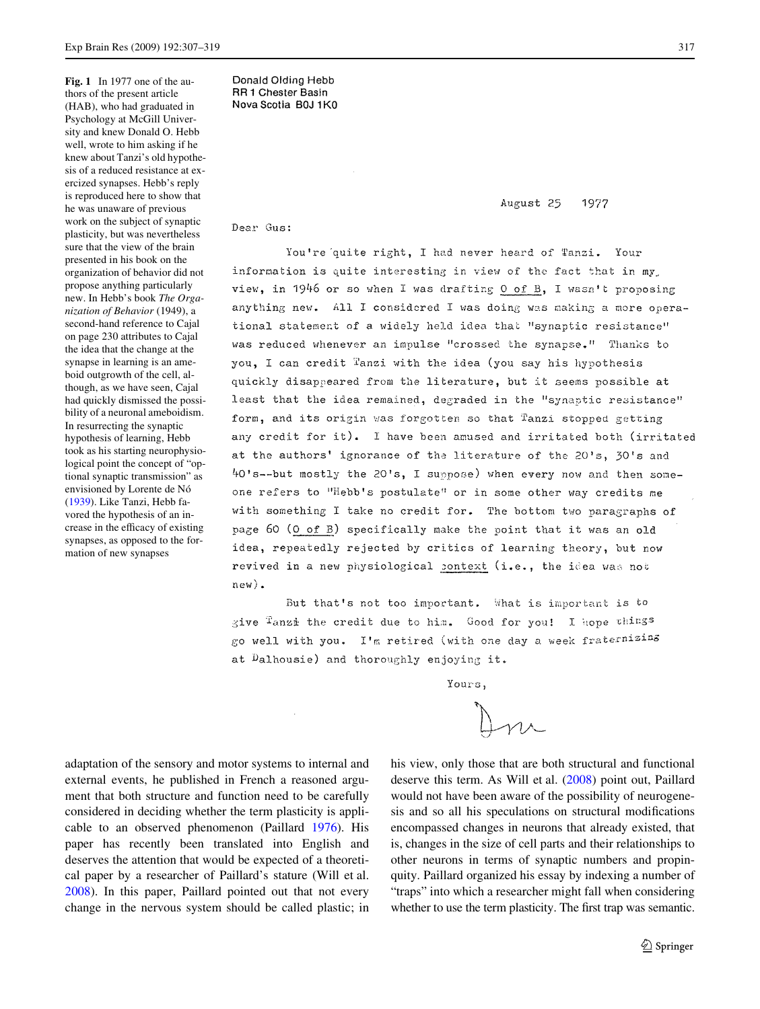<span id="page-10-0"></span>**Fig. 1** In 1977 one of the authors of the present article (HAB), who had graduated in Psychology at McGill University and knew Donald O. Hebb well, wrote to him asking if he knew about Tanzi's old hypothesis of a reduced resistance at exercized synapses. Hebb's reply is reproduced here to show that he was unaware of previous work on the subject of synaptic plasticity, but was nevertheless sure that the view of the brain presented in his book on the organization of behavior did not propose anything particularly new. In Hebb's book *The Organization of Behavior* (1949), a second-hand reference to Cajal on page 230 attributes to Cajal the idea that the change at the synapse in learning is an ameboid outgrowth of the cell, although, as we have seen, Cajal had quickly dismissed the possibility of a neuronal ameboidism. In resurrecting the synaptic hypothesis of learning, Hebb took as his starting neurophysiological point the concept of "optional synaptic transmission" as envisioned by Lorente de Nó ([1939\)](#page-12-31). Like Tanzi, Hebb favored the hypothesis of an increase in the efficacy of existing synapses, as opposed to the formation of new synapses

Donald Olding Hebb RR 1 Chester Basin Nova Scotia B0J 1K0

> August 25 1977

 $Densr$   $Gusr$ 

You're quite right, I had never heard of Tanzi. Your information is quite interesting in view of the fact that in my, view, in 1946 or so when I was drafting 0 of B, I wasn't proposing anything new. All I considered I was doing was making a more operational statement of a widely held idea that "synaptic resistance" was reduced whenever an impulse "crossed the synapse." Thanks to you, I can credit Tanzi with the idea (you say his hypothesis quickly disappeared from the literature, but it seems possible at least that the idea remained, degraded in the "synaptic resistance" form, and its origin was forgotten so that Tanzi stopped getting any credit for it). I have been amused and irritated both (irritated at the authors' ignorance of the literature of the 20's, 30's and 40's--but mostly the 20's, I suppose) when every now and then someone refers to "Hebb's postulate" or in some other way credits me with something I take no credit for. The bottom two paragraphs of page 60 (0 of B) specifically make the point that it was an old idea, repeatedly rejected by critics of learning theory, but now revived in a new physiological context (i.e., the idea was not  $new$ ).

But that's not too important. What is important is to give Tanzi the credit due to him. Good for you! I hope things go well with you. I'm retired (with one day a week fraternizing at Dalhousie) and thoroughly enjoying it.

Yours,

adaptation of the sensory and motor systems to internal and external events, he published in French a reasoned argument that both structure and function need to be carefully considered in deciding whether the term plasticity is applicable to an observed phenomenon (Paillard [1976\)](#page-12-1). His paper has recently been translated into English and deserves the attention that would be expected of a theoretical paper by a researcher of Paillard's stature (Will et al. [2008](#page-12-32)). In this paper, Paillard pointed out that not every change in the nervous system should be called plastic; in

 $\bar{z}$ 

his view, only those that are both structural and functional deserve this term. As Will et al. ([2008\)](#page-12-32) point out, Paillard would not have been aware of the possibility of neurogenesis and so all his speculations on structural modifications encompassed changes in neurons that already existed, that is, changes in the size of cell parts and their relationships to other neurons in terms of synaptic numbers and propinquity. Paillard organized his essay by indexing a number of "traps" into which a researcher might fall when considering whether to use the term plasticity. The first trap was semantic.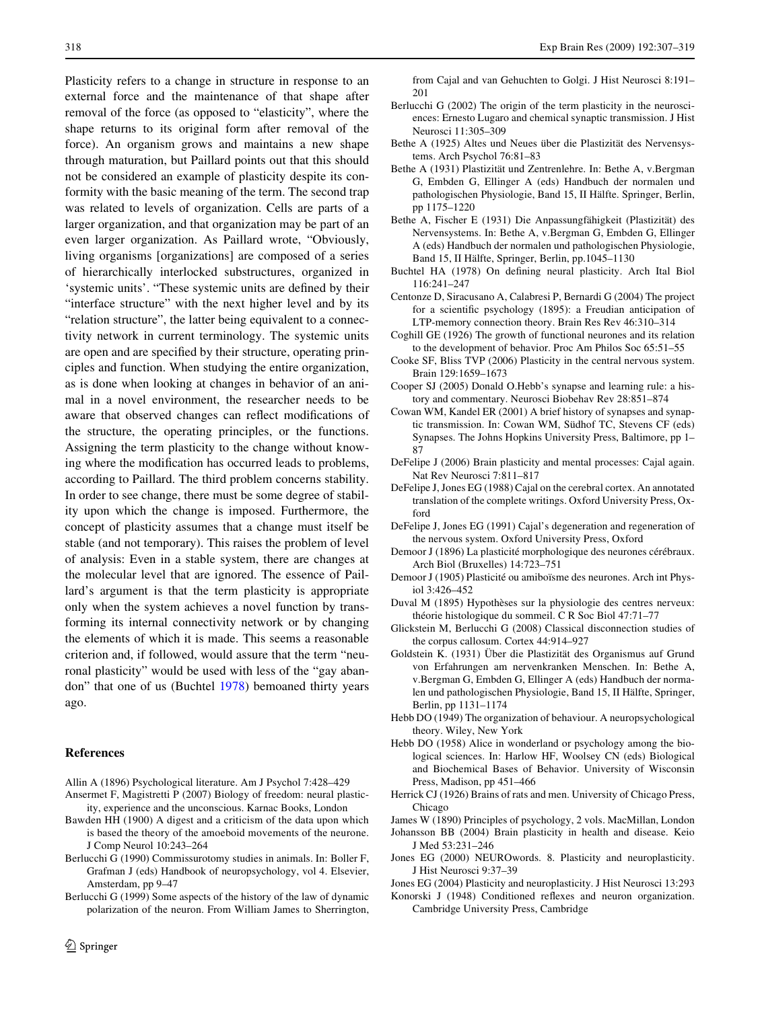Plasticity refers to a change in structure in response to an external force and the maintenance of that shape after removal of the force (as opposed to "elasticity", where the shape returns to its original form after removal of the force). An organism grows and maintains a new shape through maturation, but Paillard points out that this should not be considered an example of plasticity despite its conformity with the basic meaning of the term. The second trap was related to levels of organization. Cells are parts of a larger organization, and that organization may be part of an even larger organization. As Paillard wrote, "Obviously, living organisms [organizations] are composed of a series of hierarchically interlocked substructures, organized in 'systemic units'. "These systemic units are defined by their "interface structure" with the next higher level and by its "relation structure", the latter being equivalent to a connectivity network in current terminology. The systemic units are open and are specified by their structure, operating principles and function. When studying the entire organization, as is done when looking at changes in behavior of an animal in a novel environment, the researcher needs to be aware that observed changes can reflect modifications of the structure, the operating principles, or the functions. Assigning the term plasticity to the change without knowing where the modification has occurred leads to problems, according to Paillard. The third problem concerns stability. In order to see change, there must be some degree of stability upon which the change is imposed. Furthermore, the concept of plasticity assumes that a change must itself be stable (and not temporary). This raises the problem of level of analysis: Even in a stable system, there are changes at the molecular level that are ignored. The essence of Paillard's argument is that the term plasticity is appropriate only when the system achieves a novel function by transforming its internal connectivity network or by changing the elements of which it is made. This seems a reasonable criterion and, if followed, would assure that the term "neuronal plasticity" would be used with less of the "gay abandon" that one of us (Buchtel [1978\)](#page-11-1) bemoaned thirty years ago.

## **References**

<span id="page-11-15"></span>Allin A (1896) Psychological literature. Am J Psychol 7:428–429

<span id="page-11-4"></span>Ansermet F, Magistretti P (2007) Biology of freedom: neural plasticity, experience and the unconscious. Karnac Books, London

- <span id="page-11-19"></span>Bawden HH (1900) A digest and a criticism of the data upon which is based the theory of the amoeboid movements of the neurone. J Comp Neurol 10:243–264
- <span id="page-11-23"></span>Berlucchi G (1990) Commissurotomy studies in animals. In: Boller F, Grafman J (eds) Handbook of neuropsychology, vol 4. Elsevier, Amsterdam, pp 9–47
- <span id="page-11-9"></span>Berlucchi G (1999) Some aspects of the history of the law of dynamic polarization of the neuron. From William James to Sherrington,

from Cajal and van Gehuchten to Golgi. J Hist Neurosci 8:191– 201

- <span id="page-11-10"></span>Berlucchi G (2002) The origin of the term plasticity in the neurosciences: Ernesto Lugaro and chemical synaptic transmission. J Hist Neurosci 11:305–309
- <span id="page-11-25"></span>Bethe A (1925) Altes und Neues über die Plastizität des Nervensystems. Arch Psychol 76:81–83
- <span id="page-11-26"></span>Bethe A (1931) Plastizität und Zentrenlehre. In: Bethe A, v.Bergman G, Embden G, Ellinger A (eds) Handbuch der normalen und pathologischen Physiologie, Band 15, II Hälfte. Springer, Berlin, pp 1175–1220
- <span id="page-11-27"></span>Bethe A, Fischer E (1931) Die Anpassungfähigkeit (Plastizität) des Nervensystems. In: Bethe A, v.Bergman G, Embden G, Ellinger A (eds) Handbuch der normalen und pathologischen Physiologie, Band 15, II Hälfte, Springer, Berlin, pp.1045–1130
- <span id="page-11-1"></span>Buchtel HA (1978) On defining neural plasticity. Arch Ital Biol 116:241–247
- <span id="page-11-7"></span>Centonze D, Siracusano A, Calabresi P, Bernardi G (2004) The project for a scientific psychology (1895): a Freudian anticipation of LTP-memory connection theory. Brain Res Rev 46:310–314
- <span id="page-11-21"></span>Coghill GE (1926) The growth of functional neurones and its relation to the development of behavior. Proc Am Philos Soc 65:51–55
- <span id="page-11-3"></span>Cooke SF, Bliss TVP (2006) Plasticity in the central nervous system. Brain 129:1659–1673
- <span id="page-11-29"></span>Cooper SJ (2005) Donald O.Hebb's synapse and learning rule: a history and commentary. Neurosci Biobehav Rev 28:851–874
- <span id="page-11-5"></span>Cowan WM, Kandel ER (2001) A brief history of synapses and synaptic transmission. In: Cowan WM, Südhof TC, Stevens CF (eds) Synapses. The Johns Hopkins University Press, Baltimore, pp 1– 87
- <span id="page-11-12"></span>DeFelipe J (2006) Brain plasticity and mental processes: Cajal again. Nat Rev Neurosci 7:811–817
- <span id="page-11-16"></span>DeFelipe J, Jones EG (1988) Cajal on the cerebral cortex. An annotated translation of the complete writings. Oxford University Press, Oxford
- <span id="page-11-14"></span>DeFelipe J, Jones EG (1991) Cajal's degeneration and regeneration of the nervous system. Oxford University Press, Oxford
- <span id="page-11-18"></span>Demoor J (1896) La plasticité morphologique des neurones cérébraux. Arch Biol (Bruxelles) 14:723–751
- <span id="page-11-20"></span>Demoor J (1905) Plasticité ou amiboïsme des neurones. Arch int Physiol 3:426–452
- <span id="page-11-17"></span>Duval M (1895) Hypothèses sur la physiologie des centres nerveux: théorie histologique du sommeil. C R Soc Biol 47:71–77
- <span id="page-11-24"></span>Glickstein M, Berlucchi G (2008) Classical disconnection studies of the corpus callosum. Cortex 44:914–927
- <span id="page-11-28"></span>Goldstein K. (1931) Über die Plastizität des Organismus auf Grund von Erfahrungen am nervenkranken Menschen. In: Bethe A, v.Bergman G, Embden G, Ellinger A (eds) Handbuch der normalen und pathologischen Physiologie, Band 15, II Hälfte, Springer, Berlin, pp 1131–1174
- <span id="page-11-6"></span>Hebb DO (1949) The organization of behaviour. A neuropsychological theory. Wiley, New York
- <span id="page-11-30"></span>Hebb DO (1958) Alice in wonderland or psychology among the biological sciences. In: Harlow HF, Woolsey CN (eds) Biological and Biochemical Bases of Behavior. University of Wisconsin Press, Madison, pp 451–466
- <span id="page-11-22"></span>Herrick CJ (1926) Brains of rats and men. University of Chicago Press, Chicago

<span id="page-11-8"></span>James W (1890) Principles of psychology, 2 vols. MacMillan, London

- <span id="page-11-2"></span>Johansson BB (2004) Brain plasticity in health and disease. Keio J Med 53:231–246
- <span id="page-11-13"></span>Jones EG (2000) NEUROwords. 8. Plasticity and neuroplasticity. J Hist Neurosci 9:37–39
- <span id="page-11-11"></span>Jones EG (2004) Plasticity and neuroplasticity. J Hist Neurosci 13:293

<span id="page-11-0"></span>Konorski J (1948) Conditioned reflexes and neuron organization. Cambridge University Press, Cambridge